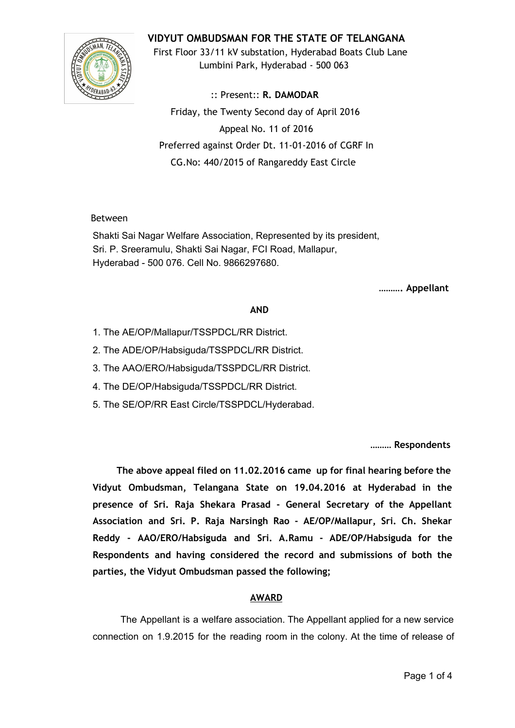

# **VIDYUT OMBUDSMAN FOR THE STATE OF TELANGANA**

First Floor 33/11 kV substation, Hyderabad Boats Club Lane Lumbini Park, Hyderabad ‐ 500 063

:: Present:: **R. DAMODAR** Friday, the Twenty Second day of April 2016 Appeal No. 11 of 2016 Preferred against Order Dt. 11‐01‐2016 of CGRF In CG.No: 440/2015 of Rangareddy East Circle

## Between

Shakti Sai Nagar Welfare Association, Represented by its president, Sri. P. Sreeramulu, Shakti Sai Nagar, FCI Road, Mallapur, Hyderabad 500 076. Cell No. 9866297680.

**………. Appellant**

## **AND**

- 1. The AE/OP/Mallapur/TSSPDCL/RR District.
- 2. The ADE/OP/Habsiguda/TSSPDCL/RR District.
- 3. The AAO/ERO/Habsiguda/TSSPDCL/RR District.
- 4. The DE/OP/Habsiguda/TSSPDCL/RR District.
- 5. The SE/OP/RR East Circle/TSSPDCL/Hyderabad.

**……… Respondents**

**The above appeal filed on 11.02.2016 came up for final hearing before the Vidyut Ombudsman, Telangana State on 19.04.2016 at Hyderabad in the presence of Sri. Raja Shekara Prasad ‐ General Secretary of the Appellant Association and Sri. P. Raja Narsingh Rao ‐ AE/OP/Mallapur, Sri. Ch. Shekar Reddy ‐ AAO/ERO/Habsiguda and Sri. A.Ramu ‐ ADE/OP/Habsiguda for the Respondents and having considered the record and submissions of both the parties, the Vidyut Ombudsman passed the following;**

# **AWARD**

The Appellant is a welfare association. The Appellant applied for a new service connection on 1.9.2015 for the reading room in the colony. At the time of release of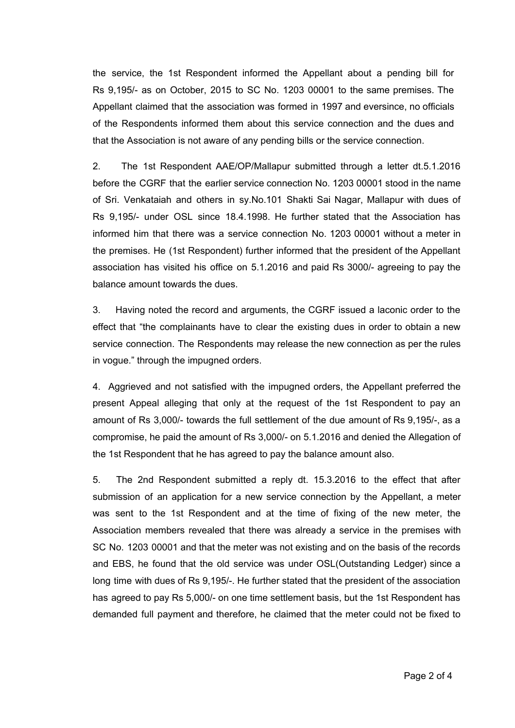the service, the 1st Respondent informed the Appellant about a pending bill for Rs 9,195/ as on October, 2015 to SC No. 1203 00001 to the same premises. The Appellant claimed that the association was formed in 1997 and eversince, no officials of the Respondents informed them about this service connection and the dues and that the Association is not aware of any pending bills or the service connection.

2. The 1st Respondent AAE/OP/Mallapur submitted through a letter dt.5.1.2016 before the CGRF that the earlier service connection No. 1203 00001 stood in the name of Sri. Venkataiah and others in sy.No.101 Shakti Sai Nagar, Mallapur with dues of Rs 9,195/ under OSL since 18.4.1998. He further stated that the Association has informed him that there was a service connection No. 1203 00001 without a meter in the premises. He (1st Respondent) further informed that the president of the Appellant association has visited his office on 5.1.2016 and paid Rs 3000/ agreeing to pay the balance amount towards the dues.

3. Having noted the record and arguments, the CGRF issued a laconic order to the effect that "the complainants have to clear the existing dues in order to obtain a new service connection. The Respondents may release the new connection as per the rules in vogue." through the impugned orders.

4. Aggrieved and not satisfied with the impugned orders, the Appellant preferred the present Appeal alleging that only at the request of the 1st Respondent to pay an amount of Rs 3,000/- towards the full settlement of the due amount of Rs 9,195/-, as a compromise, he paid the amount of Rs 3,000/ on 5.1.2016 and denied the Allegation of the 1st Respondent that he has agreed to pay the balance amount also.

5. The 2nd Respondent submitted a reply dt. 15.3.2016 to the effect that after submission of an application for a new service connection by the Appellant, a meter was sent to the 1st Respondent and at the time of fixing of the new meter, the Association members revealed that there was already a service in the premises with SC No. 1203 00001 and that the meter was not existing and on the basis of the records and EBS, he found that the old service was under OSL(Outstanding Ledger) since a long time with dues of Rs 9,195/. He further stated that the president of the association has agreed to pay Rs 5,000/- on one time settlement basis, but the 1st Respondent has demanded full payment and therefore, he claimed that the meter could not be fixed to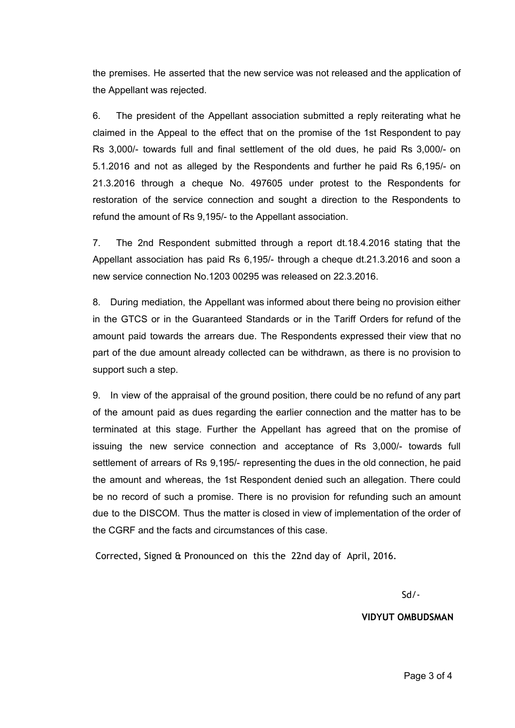the premises. He asserted that the new service was not released and the application of the Appellant was rejected.

6. The president of the Appellant association submitted a reply reiterating what he claimed in the Appeal to the effect that on the promise of the 1st Respondent to pay Rs 3,000/- towards full and final settlement of the old dues, he paid Rs 3,000/- on 5.1.2016 and not as alleged by the Respondents and further he paid Rs 6,195/ on 21.3.2016 through a cheque No. 497605 under protest to the Respondents for restoration of the service connection and sought a direction to the Respondents to refund the amount of Rs 9,195/- to the Appellant association.

7. The 2nd Respondent submitted through a report dt.18.4.2016 stating that the Appellant association has paid Rs 6,195/ through a cheque dt.21.3.2016 and soon a new service connection No.1203 00295 was released on 22.3.2016.

8. During mediation, the Appellant was informed about there being no provision either in the GTCS or in the Guaranteed Standards or in the Tariff Orders for refund of the amount paid towards the arrears due. The Respondents expressed their view that no part of the due amount already collected can be withdrawn, as there is no provision to support such a step.

9. In view of the appraisal of the ground position, there could be no refund of any part of the amount paid as dues regarding the earlier connection and the matter has to be terminated at this stage. Further the Appellant has agreed that on the promise of issuing the new service connection and acceptance of Rs 3,000/ towards full settlement of arrears of Rs 9,195/- representing the dues in the old connection, he paid the amount and whereas, the 1st Respondent denied such an allegation. There could be no record of such a promise. There is no provision for refunding such an amount due to the DISCOM. Thus the matter is closed in view of implementation of the order of the CGRF and the facts and circumstances of this case.

Corrected, Signed & Pronounced on this the 22nd day of April, 2016.

Sd/‐

**VIDYUT OMBUDSMAN**